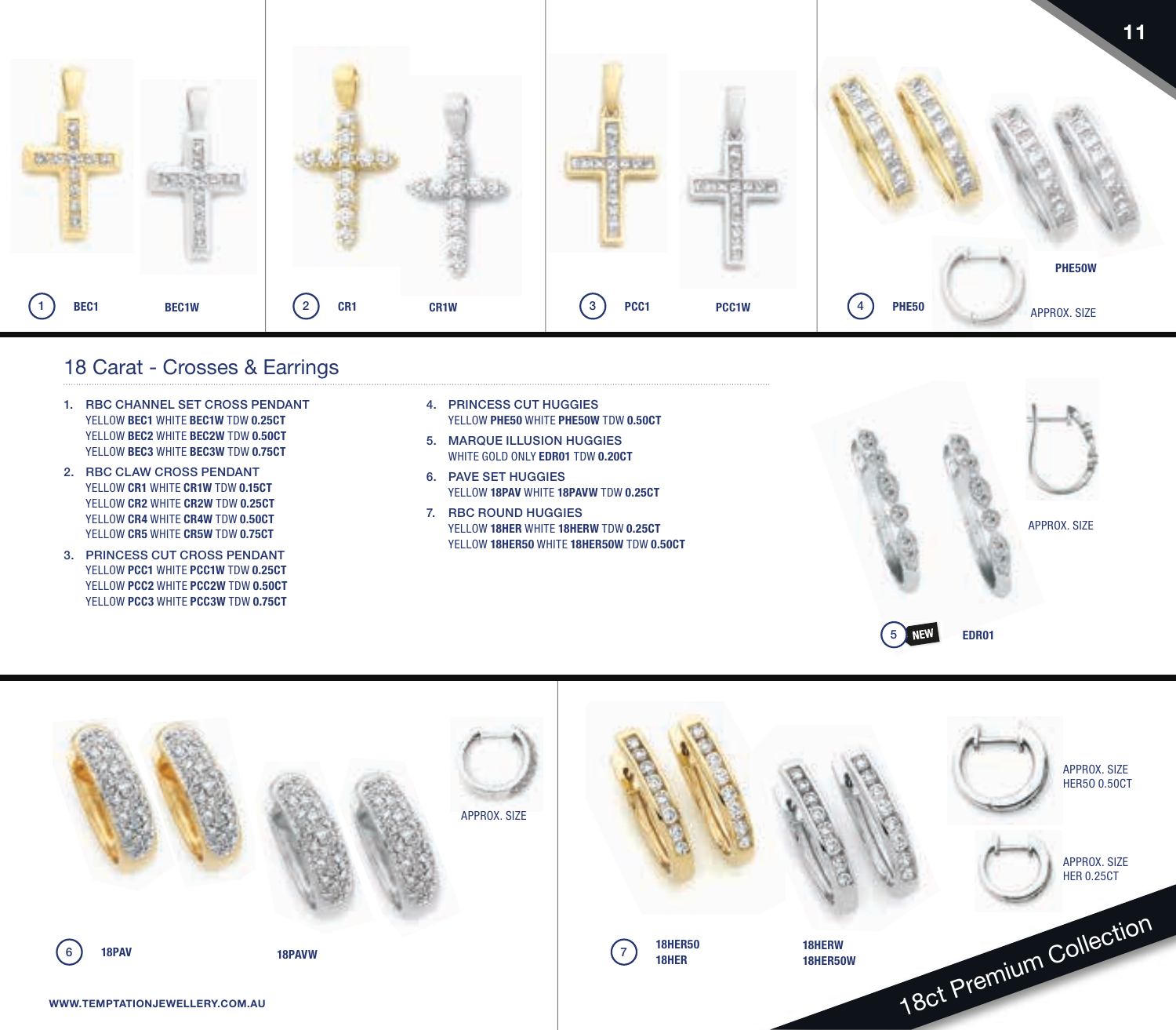

## 18 Carat - Crosses & Earrings

- 1. RBC CHANNEL SET CROSS PENDANT YELLOW **BEC1** WHITE **BEC1W** TDW **0.25CT** YELLOW **BEC2** WHITE **BEC2W** TDW **0.50CT** YELLOW **BEC3** WHITE **BEC3W** TDW **0.75CT**
- 2. RBC CLAW CROSS PENDANT YELLOW **CR1** WHITE **CR1W** TDW **0.15CT** YELLOW **CR2** WHITE **CR2W** TDW **0.25CT** YELLOW **CR4** WHITE **CR4W** TDW **0.50CT** YELLOW **CR5** WHITE **CR5W** TDW **0.75CT**
- 3. PRINCESS CUT CROSS PENDANT YELLOW **PCC1** WHITE **PCC1W** TDW **0.25CT** YELLOW **PCC2** WHITE **PCC2W** TDW **0.50CT** YELLOW **PCC3** WHITE **PCC3W** TDW **0.75CT**
- 4. PRINCESS CUT HUGGIES YELLOW **PHE50** WHITE **PHE50W** TDW **0.50CT**
- 5. MARQUE ILLUSION HUGGIES WHITE GOLD ONLY **EDR01** TDW **0.20CT**
- 6. PAVE SET HUGGIES YELLOW **18PAV** WHITE **18PAVW** TDW **0.25CT**
- 7. RBC ROUND HUGGIES YELLOW **18HER** WHITE **18HERW** TDW **0.25CT** YELLOW **18HER50** WHITE **18HER50W** TDW **0.50CT**



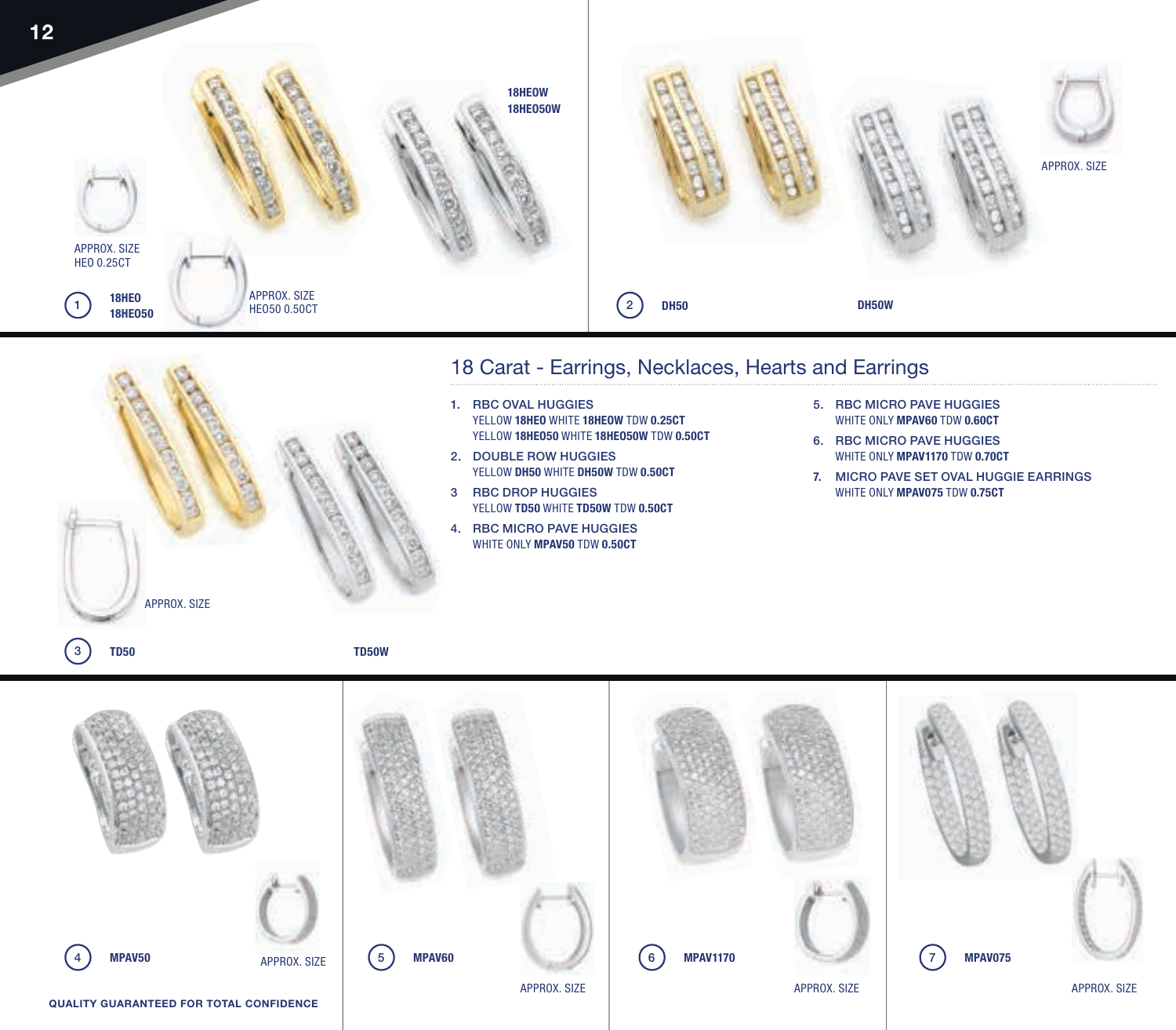

## 18 Carat - Earrings, Necklaces, Hearts and Earrings

- 1. RBC OVAL HUGGIES YELLOW **18HEO** WHITE **18HEOW** TDW **0.25CT** YELLOW **18HEO50** WHITE **18HEO50W** TDW **0.50CT**
- 2. DOUBLE ROW HUGGIES YELLOW **DH50** WHITE **DH50W** TDW **0.50CT**
- 3 RBC DROP HUGGIES YELLOW **TD50** WHITE **TD50W** TDW **0.50CT**
- 4. RBC MICRO PAVE HUGGIES WHITE ONLY **MPAV50** TDW **0.50CT**
- 5. RBC MICRO PAVE HUGGIES WHITE ONLY **MPAV60** TDW **0.60CT**
- 6. RBC MICRO PAVE HUGGIES WHITE ONLY **MPAV1170** TDW **0.70CT**
- **7.** MICRO PAVE SET OVAL HUGGIE EARRINGS WHITE ONLY **MPAV075** TDW **0.75CT**

3 **TD50**

APPROX. SIZE

**TD50W**